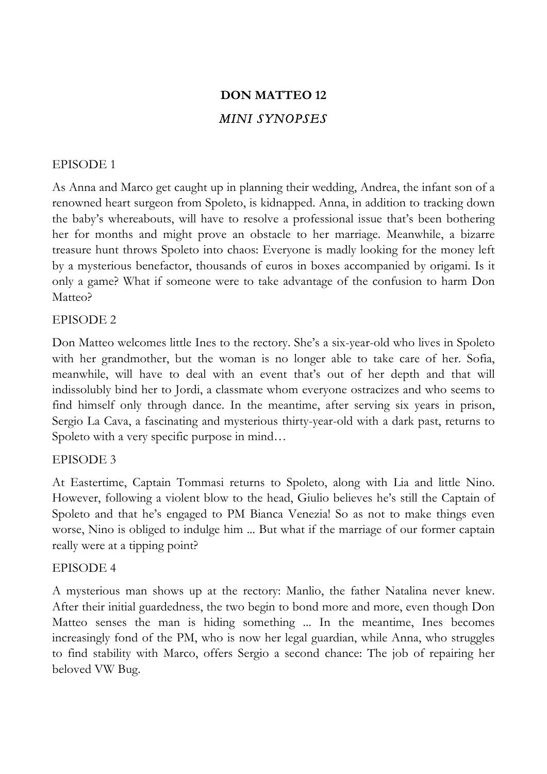# **DON MATTEO 12** *MINI SYNOPSES*

# EPISODE 1

As Anna and Marco get caught up in planning their wedding, Andrea, the infant son of a renowned heart surgeon from Spoleto, is kidnapped. Anna, in addition to tracking down the baby's whereabouts, will have to resolve a professional issue that's been bothering her for months and might prove an obstacle to her marriage. Meanwhile, a bizarre treasure hunt throws Spoleto into chaos: Everyone is madly looking for the money left by a mysterious benefactor, thousands of euros in boxes accompanied by origami. Is it only a game? What if someone were to take advantage of the confusion to harm Don Matteo?

## EPISODE 2

Don Matteo welcomes little Ines to the rectory. She's a six-year-old who lives in Spoleto with her grandmother, but the woman is no longer able to take care of her. Sofia, meanwhile, will have to deal with an event that's out of her depth and that will indissolubly bind her to Jordi, a classmate whom everyone ostracizes and who seems to find himself only through dance. In the meantime, after serving six years in prison, Sergio La Cava, a fascinating and mysterious thirty-year-old with a dark past, returns to Spoleto with a very specific purpose in mind…

## EPISODE 3

At Eastertime, Captain Tommasi returns to Spoleto, along with Lia and little Nino. However, following a violent blow to the head, Giulio believes he's still the Captain of Spoleto and that he's engaged to PM Bianca Venezia! So as not to make things even worse, Nino is obliged to indulge him ... But what if the marriage of our former captain really were at a tipping point?

## EPISODE 4

A mysterious man shows up at the rectory: Manlio, the father Natalina never knew. After their initial guardedness, the two begin to bond more and more, even though Don Matteo senses the man is hiding something ... In the meantime, Ines becomes increasingly fond of the PM, who is now her legal guardian, while Anna, who struggles to find stability with Marco, offers Sergio a second chance: The job of repairing her beloved VW Bug.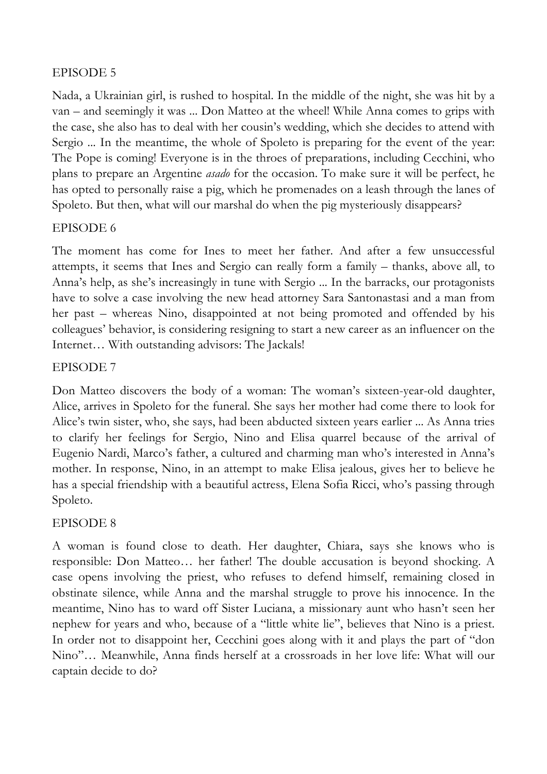# EPISODE 5

Nada, a Ukrainian girl, is rushed to hospital. In the middle of the night, she was hit by a van – and seemingly it was ... Don Matteo at the wheel! While Anna comes to grips with the case, she also has to deal with her cousin's wedding, which she decides to attend with Sergio ... In the meantime, the whole of Spoleto is preparing for the event of the year: The Pope is coming! Everyone is in the throes of preparations, including Cecchini, who plans to prepare an Argentine *asado* for the occasion. To make sure it will be perfect, he has opted to personally raise a pig, which he promenades on a leash through the lanes of Spoleto. But then, what will our marshal do when the pig mysteriously disappears?

# EPISODE 6

The moment has come for Ines to meet her father. And after a few unsuccessful attempts, it seems that Ines and Sergio can really form a family – thanks, above all, to Anna's help, as she's increasingly in tune with Sergio ... In the barracks, our protagonists have to solve a case involving the new head attorney Sara Santonastasi and a man from her past – whereas Nino, disappointed at not being promoted and offended by his colleagues' behavior, is considering resigning to start a new career as an influencer on the Internet… With outstanding advisors: The Jackals!

# EPISODE 7

Don Matteo discovers the body of a woman: The woman's sixteen-year-old daughter, Alice, arrives in Spoleto for the funeral. She says her mother had come there to look for Alice's twin sister, who, she says, had been abducted sixteen years earlier ... As Anna tries to clarify her feelings for Sergio, Nino and Elisa quarrel because of the arrival of Eugenio Nardi, Marco's father, a cultured and charming man who's interested in Anna's mother. In response, Nino, in an attempt to make Elisa jealous, gives her to believe he has a special friendship with a beautiful actress, Elena Sofia Ricci, who's passing through Spoleto.

# EPISODE 8

A woman is found close to death. Her daughter, Chiara, says she knows who is responsible: Don Matteo… her father! The double accusation is beyond shocking. A case opens involving the priest, who refuses to defend himself, remaining closed in obstinate silence, while Anna and the marshal struggle to prove his innocence. In the meantime, Nino has to ward off Sister Luciana, a missionary aunt who hasn't seen her nephew for years and who, because of a "little white lie", believes that Nino is a priest. In order not to disappoint her, Cecchini goes along with it and plays the part of "don Nino"… Meanwhile, Anna finds herself at a crossroads in her love life: What will our captain decide to do?